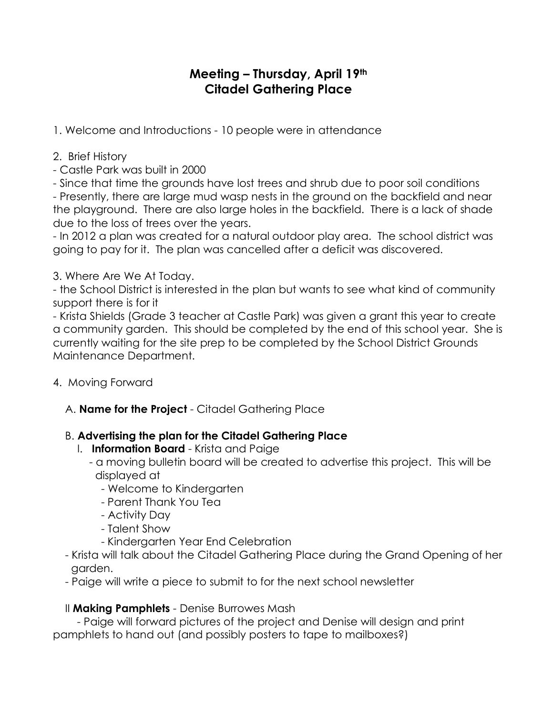# **Meeting – Thursday, April 19th Citadel Gathering Place**

1. Welcome and Introductions - 10 people were in attendance

#### 2. Brief History

- Castle Park was built in 2000

- Since that time the grounds have lost trees and shrub due to poor soil conditions

- Presently, there are large mud wasp nests in the ground on the backfield and near the playground. There are also large holes in the backfield. There is a lack of shade due to the loss of trees over the years.

- In 2012 a plan was created for a natural outdoor play area. The school district was going to pay for it. The plan was cancelled after a deficit was discovered.

### 3. Where Are We At Today.

- the School District is interested in the plan but wants to see what kind of community support there is for it

- Krista Shields (Grade 3 teacher at Castle Park) was given a grant this year to create a community garden. This should be completed by the end of this school year. She is currently waiting for the site prep to be completed by the School District Grounds Maintenance Department.

- 4. Moving Forward
	- A. **Name for the Project**  Citadel Gathering Place

## B. **Advertising the plan for the Citadel Gathering Place**

- I. **Information Board**  Krista and Paige
	- a moving bulletin board will be created to advertise this project. This will be displayed at
		- Welcome to Kindergarten
		- Parent Thank You Tea
		- Activity Day
		- Talent Show
		- Kindergarten Year End Celebration
- Krista will talk about the Citadel Gathering Place during the Grand Opening of her garden.
- Paige will write a piece to submit to for the next school newsletter

## II **Making Pamphlets** - Denise Burrowes Mash

 - Paige will forward pictures of the project and Denise will design and print pamphlets to hand out (and possibly posters to tape to mailboxes?)